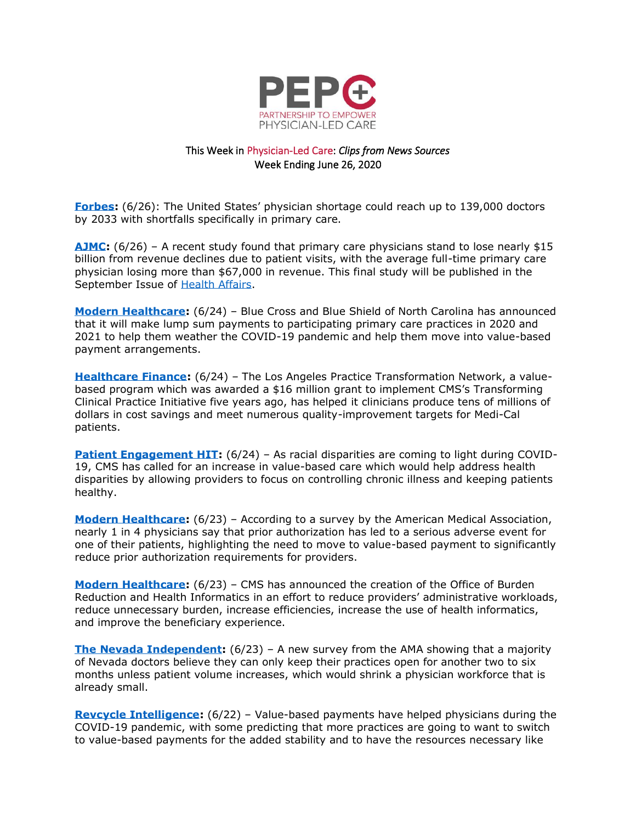

## This Week in Physician-Led Care: *Clips from News Sources*  Week Ending June 26, 2020

**[Forbes:](https://www.forbes.com/sites/brucejapsen/2020/06/26/us-doctor-shortage-could-hit-139000-by-2033/#18067f668155)** (6/26): The United States' physician shortage could reach up to 139,000 doctors by 2033 with shortfalls specifically in primary care.

**[AJMC:](https://www.ajmc.com/focus-of-the-week/covid19-to-create-losses-of-15-billion-for-primary-care-practices)** (6/26) – A recent study found that primary care physicians stand to lose nearly \$15 billion from revenue declines due to patient visits, with the average full-time primary care physician losing more than \$67,000 in revenue. This final study will be published in the September Issue of [Health Affairs.](https://www.healthaffairs.org/doi/10.1377/hlthaff.2020.00794)

**[Modern Healthcare:](https://www.modernhealthcare.com/payment/nc-blues-pay-primary-care-practices-stay-open-join-value-based-care)** (6/24) – Blue Cross and Blue Shield of North Carolina has announced that it will make lump sum payments to participating primary care practices in 2020 and 2021 to help them weather the COVID-19 pandemic and help them move into value-based payment arrangements.

**[Healthcare Finance:](https://www.healthcarefinancenews.com/news/value-based-program-la-county-using-data-improve-outcomes-and-cost-savings)** (6/24) – The Los Angeles Practice Transformation Network, a valuebased program which was awarded a \$16 million grant to implement CMS's Transforming Clinical Practice Initiative five years ago, has helped it clinicians produce tens of millions of dollars in cost savings and meet numerous quality-improvement targets for Medi-Cal patients.

**[Patient Engagement HIT:](https://patientengagementhit.com/news/racial-health-disparities-persist-cms-calls-for-value-based-care)** (6/24) – As racial disparities are coming to light during COVID-19, CMS has called for an increase in value-based care which would help address health disparities by allowing providers to focus on controlling chronic illness and keeping patients healthy.

**[Modern Healthcare:](https://www.modernhealthcare.com/patients/25-docs-say-prior-authorization-seriously-affected-patient)** (6/23) – According to a survey by the American Medical Association, nearly 1 in 4 physicians say that prior authorization has led to a serious adverse event for one of their patients, highlighting the need to move to value-based payment to significantly reduce prior authorization requirements for providers.

**[Modern Healthcare:](https://www.modernhealthcare.com/government/cms-creates-new-office-cut-clinician-red-tape)** (6/23) – CMS has announced the creation of the Office of Burden Reduction and Health Informatics in an effort to reduce providers' administrative workloads, reduce unnecessary burden, increase efficiencies, increase the use of health informatics, and improve the beneficiary experience.

**[The Nevada Independent:](https://thenevadaindependent.com/article/nevadas-already-slim-physician-workforce-may-grow-slimmer-with-patients-slow-to-return-to-doctors-offices)** (6/23) – A new survey from the AMA showing that a majority of Nevada doctors believe they can only keep their practices open for another two to six months unless patient volume increases, which would shrink a physician workforce that is already small.

**[Revcycle Intelligence:](https://revcycleintelligence.com/news/how-value-based-payments-support-physicians-during-a-crisis)** (6/22) – Value-based payments have helped physicians during the COVID-19 pandemic, with some predicting that more practices are going to want to switch to value-based payments for the added stability and to have the resources necessary like